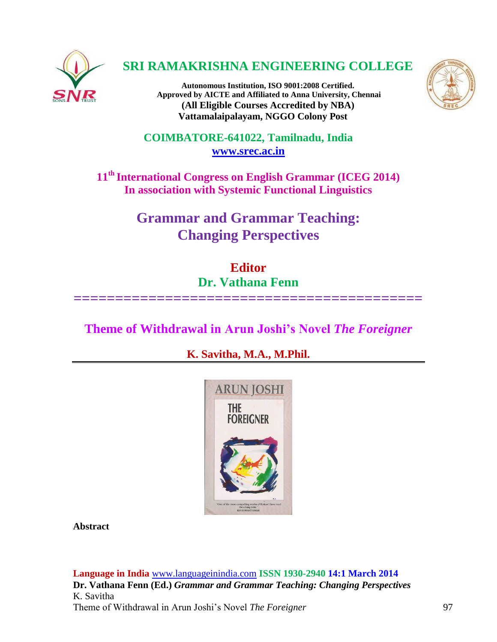

# **SRI RAMAKRISHNA ENGINEERING COLLEGE**

**Autonomous Institution, ISO 9001:2008 Certified. Approved by AICTE and Affiliated to Anna University, Chennai (All Eligible Courses Accredited by NBA) Vattamalaipalayam, NGGO Colony Post**



**COIMBATORE-641022, Tamilnadu, India [www.srec.ac.in](http://www.srec.ac.in/)**

**11th International Congress on English Grammar (ICEG 2014) In association with Systemic Functional Linguistics**

> **Grammar and Grammar Teaching: Changing Perspectives**

**Editor Dr. Vathana Fenn ==========================================**

**Theme of Withdrawal in Arun Joshi's Novel** *The Foreigner*

**K. Savitha, M.A., M.Phil.**



**Abstract**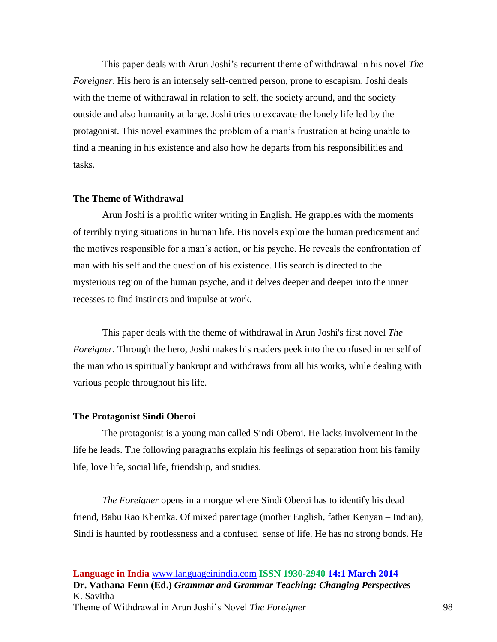This paper deals with Arun Joshi's recurrent theme of withdrawal in his novel *The Foreigner*. His hero is an intensely self-centred person, prone to escapism. Joshi deals with the theme of withdrawal in relation to self, the society around, and the society outside and also humanity at large. Joshi tries to excavate the lonely life led by the protagonist. This novel examines the problem of a man's frustration at being unable to find a meaning in his existence and also how he departs from his responsibilities and tasks.

### **The Theme of Withdrawal**

Arun Joshi is a prolific writer writing in English. He grapples with the moments of terribly trying situations in human life. His novels explore the human predicament and the motives responsible for a man's action, or his psyche. He reveals the confrontation of man with his self and the question of his existence. His search is directed to the mysterious region of the human psyche, and it delves deeper and deeper into the inner recesses to find instincts and impulse at work.

This paper deals with the theme of withdrawal in Arun Joshi's first novel *The Foreigner*. Through the hero, Joshi makes his readers peek into the confused inner self of the man who is spiritually bankrupt and withdraws from all his works, while dealing with various people throughout his life.

### **The Protagonist Sindi Oberoi**

The protagonist is a young man called Sindi Oberoi. He lacks involvement in the life he leads. The following paragraphs explain his feelings of separation from his family life, love life, social life, friendship, and studies.

*The Foreigner* opens in a morgue where Sindi Oberoi has to identify his dead friend, Babu Rao Khemka. Of mixed parentage (mother English, father Kenyan – Indian), Sindi is haunted by rootlessness and a confused sense of life. He has no strong bonds. He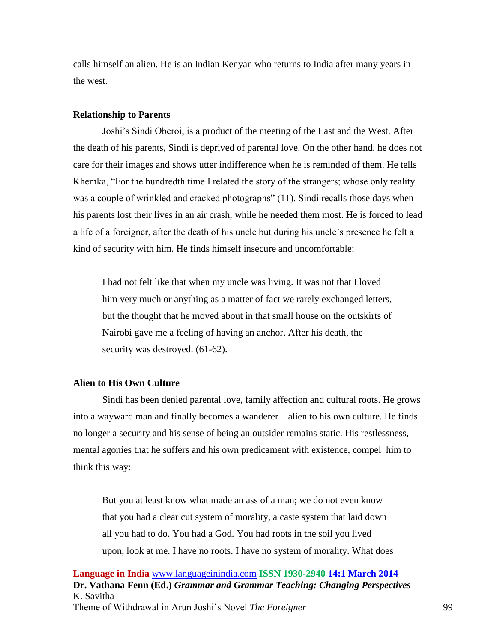calls himself an alien. He is an Indian Kenyan who returns to India after many years in the west.

#### **Relationship to Parents**

Joshi's Sindi Oberoi, is a product of the meeting of the East and the West. After the death of his parents, Sindi is deprived of parental love. On the other hand, he does not care for their images and shows utter indifference when he is reminded of them. He tells Khemka, "For the hundredth time I related the story of the strangers; whose only reality was a couple of wrinkled and cracked photographs" (11). Sindi recalls those days when his parents lost their lives in an air crash, while he needed them most. He is forced to lead a life of a foreigner, after the death of his uncle but during his uncle's presence he felt a kind of security with him. He finds himself insecure and uncomfortable:

I had not felt like that when my uncle was living. It was not that I loved him very much or anything as a matter of fact we rarely exchanged letters, but the thought that he moved about in that small house on the outskirts of Nairobi gave me a feeling of having an anchor. After his death, the security was destroyed. (61-62).

## **Alien to His Own Culture**

Sindi has been denied parental love, family affection and cultural roots. He grows into a wayward man and finally becomes a wanderer – alien to his own culture. He finds no longer a security and his sense of being an outsider remains static. His restlessness, mental agonies that he suffers and his own predicament with existence, compel him to think this way:

But you at least know what made an ass of a man; we do not even know that you had a clear cut system of morality, a caste system that laid down all you had to do. You had a God. You had roots in the soil you lived upon, look at me. I have no roots. I have no system of morality. What does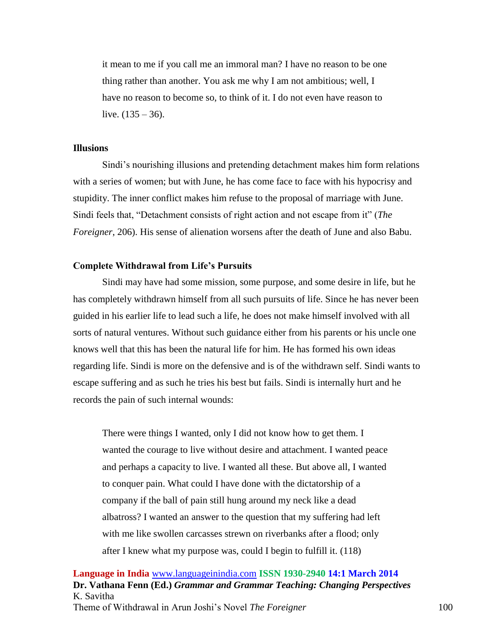it mean to me if you call me an immoral man? I have no reason to be one thing rather than another. You ask me why I am not ambitious; well, I have no reason to become so, to think of it. I do not even have reason to live.  $(135 - 36)$ .

## **Illusions**

Sindi's nourishing illusions and pretending detachment makes him form relations with a series of women; but with June, he has come face to face with his hypocrisy and stupidity. The inner conflict makes him refuse to the proposal of marriage with June. Sindi feels that, "Detachment consists of right action and not escape from it" (*The Foreigner*, 206). His sense of alienation worsens after the death of June and also Babu.

## **Complete Withdrawal from Life's Pursuits**

Sindi may have had some mission, some purpose, and some desire in life, but he has completely withdrawn himself from all such pursuits of life. Since he has never been guided in his earlier life to lead such a life, he does not make himself involved with all sorts of natural ventures. Without such guidance either from his parents or his uncle one knows well that this has been the natural life for him. He has formed his own ideas regarding life. Sindi is more on the defensive and is of the withdrawn self. Sindi wants to escape suffering and as such he tries his best but fails. Sindi is internally hurt and he records the pain of such internal wounds:

There were things I wanted, only I did not know how to get them. I wanted the courage to live without desire and attachment. I wanted peace and perhaps a capacity to live. I wanted all these. But above all, I wanted to conquer pain. What could I have done with the dictatorship of a company if the ball of pain still hung around my neck like a dead albatross? I wanted an answer to the question that my suffering had left with me like swollen carcasses strewn on riverbanks after a flood; only after I knew what my purpose was, could I begin to fulfill it. (118)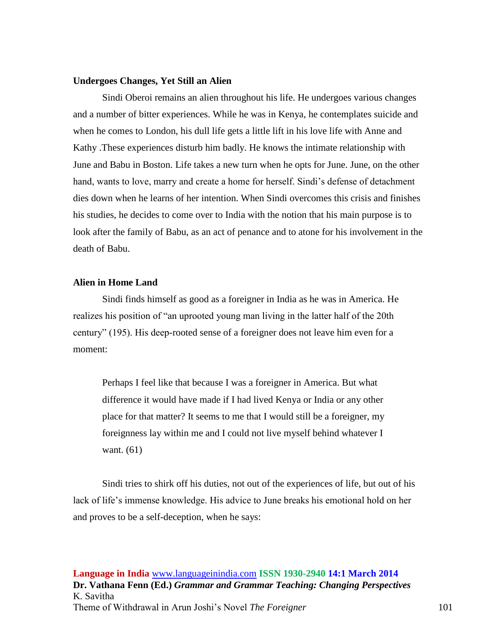## **Undergoes Changes, Yet Still an Alien**

Sindi Oberoi remains an alien throughout his life. He undergoes various changes and a number of bitter experiences. While he was in Kenya, he contemplates suicide and when he comes to London, his dull life gets a little lift in his love life with Anne and Kathy .These experiences disturb him badly. He knows the intimate relationship with June and Babu in Boston. Life takes a new turn when he opts for June. June, on the other hand, wants to love, marry and create a home for herself. Sindi's defense of detachment dies down when he learns of her intention. When Sindi overcomes this crisis and finishes his studies, he decides to come over to India with the notion that his main purpose is to look after the family of Babu, as an act of penance and to atone for his involvement in the death of Babu.

# **Alien in Home Land**

Sindi finds himself as good as a foreigner in India as he was in America. He realizes his position of "an uprooted young man living in the latter half of the 20th century" (195). His deep-rooted sense of a foreigner does not leave him even for a moment:

Perhaps I feel like that because I was a foreigner in America. But what difference it would have made if I had lived Kenya or India or any other place for that matter? It seems to me that I would still be a foreigner, my foreignness lay within me and I could not live myself behind whatever I want. (61)

Sindi tries to shirk off his duties, not out of the experiences of life, but out of his lack of life's immense knowledge. His advice to June breaks his emotional hold on her and proves to be a self-deception, when he says: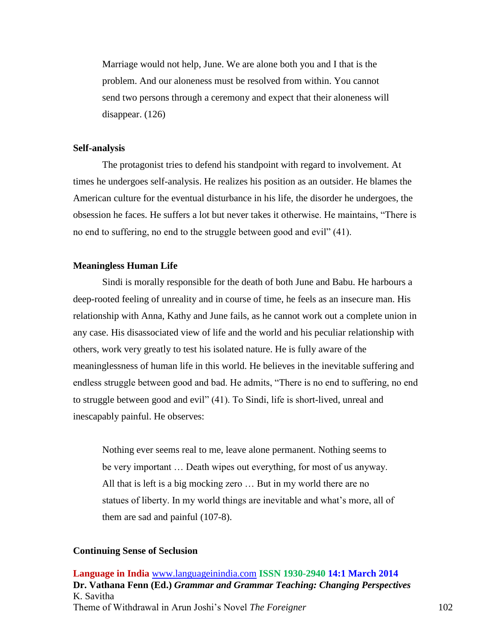Marriage would not help, June. We are alone both you and I that is the problem. And our aloneness must be resolved from within. You cannot send two persons through a ceremony and expect that their aloneness will disappear. (126)

## **Self-analysis**

The protagonist tries to defend his standpoint with regard to involvement. At times he undergoes self-analysis. He realizes his position as an outsider. He blames the American culture for the eventual disturbance in his life, the disorder he undergoes, the obsession he faces. He suffers a lot but never takes it otherwise. He maintains, "There is no end to suffering, no end to the struggle between good and evil" (41).

## **Meaningless Human Life**

Sindi is morally responsible for the death of both June and Babu. He harbours a deep-rooted feeling of unreality and in course of time, he feels as an insecure man. His relationship with Anna, Kathy and June fails, as he cannot work out a complete union in any case. His disassociated view of life and the world and his peculiar relationship with others, work very greatly to test his isolated nature. He is fully aware of the meaninglessness of human life in this world. He believes in the inevitable suffering and endless struggle between good and bad. He admits, "There is no end to suffering, no end to struggle between good and evil" (41). To Sindi, life is short-lived, unreal and inescapably painful. He observes:

Nothing ever seems real to me, leave alone permanent. Nothing seems to be very important … Death wipes out everything, for most of us anyway. All that is left is a big mocking zero … But in my world there are no statues of liberty. In my world things are inevitable and what's more, all of them are sad and painful (107-8).

#### **Continuing Sense of Seclusion**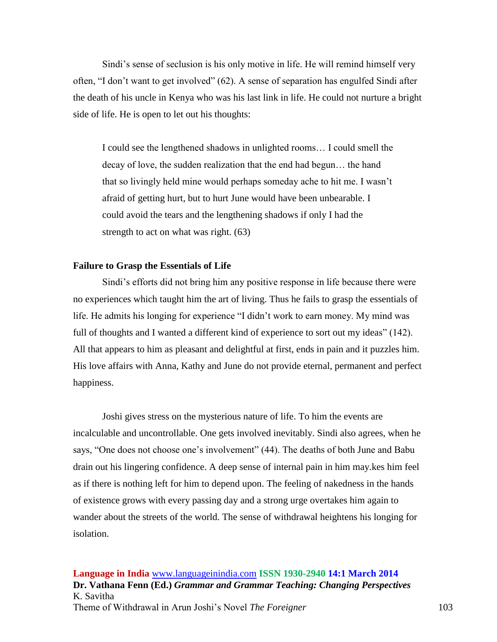Sindi's sense of seclusion is his only motive in life. He will remind himself very often, "I don't want to get involved" (62). A sense of separation has engulfed Sindi after the death of his uncle in Kenya who was his last link in life. He could not nurture a bright side of life. He is open to let out his thoughts:

I could see the lengthened shadows in unlighted rooms… I could smell the decay of love, the sudden realization that the end had begun… the hand that so livingly held mine would perhaps someday ache to hit me. I wasn't afraid of getting hurt, but to hurt June would have been unbearable. I could avoid the tears and the lengthening shadows if only I had the strength to act on what was right. (63)

## **Failure to Grasp the Essentials of Life**

Sindi's efforts did not bring him any positive response in life because there were no experiences which taught him the art of living. Thus he fails to grasp the essentials of life. He admits his longing for experience "I didn't work to earn money. My mind was full of thoughts and I wanted a different kind of experience to sort out my ideas" (142). All that appears to him as pleasant and delightful at first, ends in pain and it puzzles him. His love affairs with Anna, Kathy and June do not provide eternal, permanent and perfect happiness.

Joshi gives stress on the mysterious nature of life. To him the events are incalculable and uncontrollable. One gets involved inevitably. Sindi also agrees, when he says, "One does not choose one's involvement" (44). The deaths of both June and Babu drain out his lingering confidence. A deep sense of internal pain in him may.kes him feel as if there is nothing left for him to depend upon. The feeling of nakedness in the hands of existence grows with every passing day and a strong urge overtakes him again to wander about the streets of the world. The sense of withdrawal heightens his longing for isolation.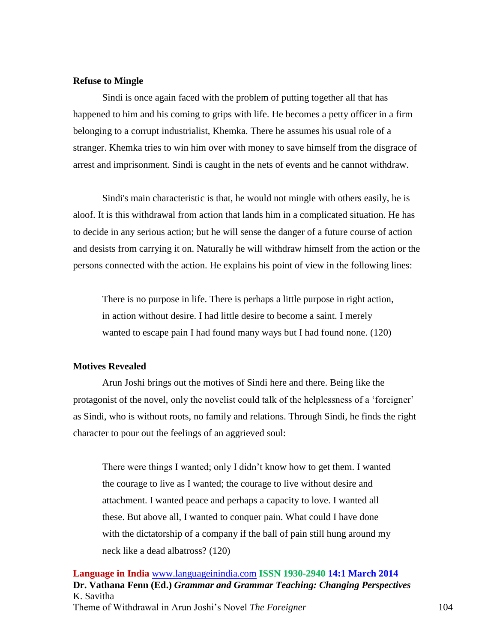## **Refuse to Mingle**

Sindi is once again faced with the problem of putting together all that has happened to him and his coming to grips with life. He becomes a petty officer in a firm belonging to a corrupt industrialist, Khemka. There he assumes his usual role of a stranger. Khemka tries to win him over with money to save himself from the disgrace of arrest and imprisonment. Sindi is caught in the nets of events and he cannot withdraw.

Sindi's main characteristic is that, he would not mingle with others easily, he is aloof. It is this withdrawal from action that lands him in a complicated situation. He has to decide in any serious action; but he will sense the danger of a future course of action and desists from carrying it on. Naturally he will withdraw himself from the action or the persons connected with the action. He explains his point of view in the following lines:

There is no purpose in life. There is perhaps a little purpose in right action, in action without desire. I had little desire to become a saint. I merely wanted to escape pain I had found many ways but I had found none. (120)

# **Motives Revealed**

Arun Joshi brings out the motives of Sindi here and there. Being like the protagonist of the novel, only the novelist could talk of the helplessness of a 'foreigner' as Sindi, who is without roots, no family and relations. Through Sindi, he finds the right character to pour out the feelings of an aggrieved soul:

There were things I wanted; only I didn't know how to get them. I wanted the courage to live as I wanted; the courage to live without desire and attachment. I wanted peace and perhaps a capacity to love. I wanted all these. But above all, I wanted to conquer pain. What could I have done with the dictatorship of a company if the ball of pain still hung around my neck like a dead albatross? (120)